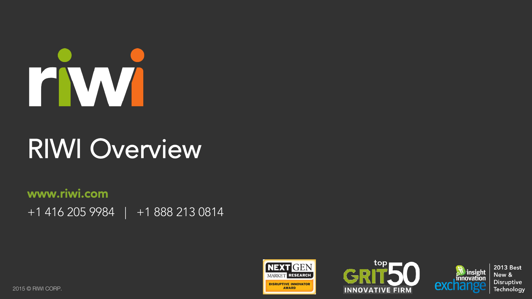

# RIWI Overview

www.riwi.com +1 416 205 9984 | +1 888 213 0814







**2013 Best** New & **Disruptive** Technology

2015 © RIWI CORP.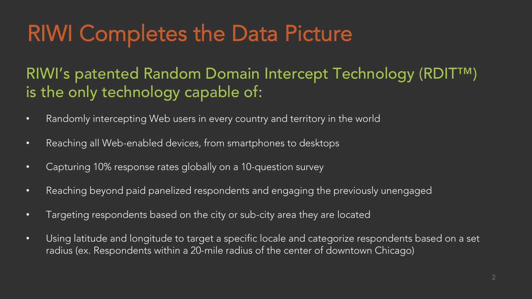#### RIWI Completes the Data Picture

RIWI's patented Random Domain Intercept Technology (RDIT™) is the only technology capable of:

- Randomly intercepting Web users in every country and territory in the world
- Reaching all Web-enabled devices, from smartphones to desktops
- Capturing 10% response rates globally on a 10-question survey
- Reaching beyond paid panelized respondents and engaging the previously unengaged
- Targeting respondents based on the city or sub-city area they are located
- Using latitude and longitude to target a specific locale and categorize respondents based on a set radius (ex. Respondents within a 20-mile radius of the center of downtown Chicago)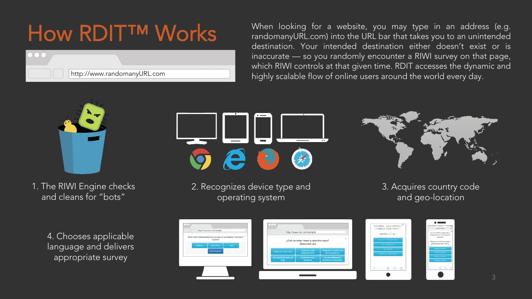#### How RDIT™ Works



When looking for a website, you may type in an address (e.g. randomanyURL.com) into the URL bar that takes you to an unintended destination. Your intended destination either doesn't exist or is inaccurate — so you randomly encounter a RIWI survey on that page, which RIWI controls at that given time. RDIT accesses the dynamic and highly scalable flow of online users around the world every day.



1. The RIWI Engine checks and cleans for "bots"

> 4. Chooses applicable language and delivers appropriate survey



2. Recognizes device type and operating system



3. Acquires country code and geo-location

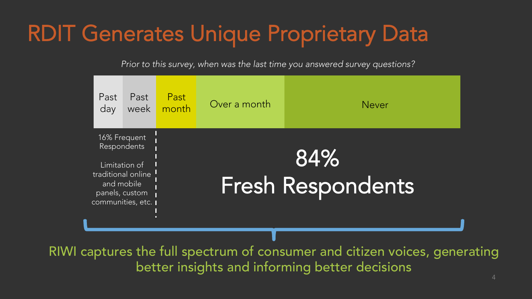#### RDIT Generates Unique Proprietary Data

*Prior to this survey, when was the last time you answered survey questions?* 

| Past<br>day                                                                                                             | Past<br>week | Past<br>month | Over a month | <b>Never</b>                    |
|-------------------------------------------------------------------------------------------------------------------------|--------------|---------------|--------------|---------------------------------|
| 16% Frequent<br>Respondents<br>Limitation of<br>traditional online<br>and mobile<br>panels, custom<br>communities, etc. |              |               |              | 84%<br><b>Fresh Respondents</b> |
|                                                                                                                         |              |               | $\sim$       | $\mathbf{a}$                    |

RIWI captures the full spectrum of consumer and citizen voices, generating better insights and informing better decisions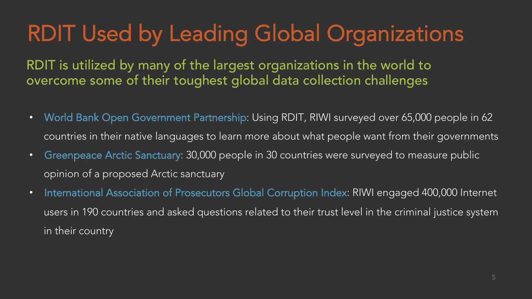### RDIT Used by Leading Global Organizations

RDIT is utilized by many of the largest organizations in the world to overcome some of their toughest global data collection challenges

- World Bank Open Government Partnership: Using RDIT, RIWI surveyed over 65,000 people in 62 countries in their native languages to learn more about what people want from their governments
- Greenpeace Arctic Sanctuary: 30,000 people in 30 countries were surveyed to measure public opinion of a proposed Arctic sanctuary
- International Association of Prosecutors Global Corruption Index: RIWI engaged 400,000 Internet users in 190 countries and asked questions related to their trust level in the criminal justice system in their country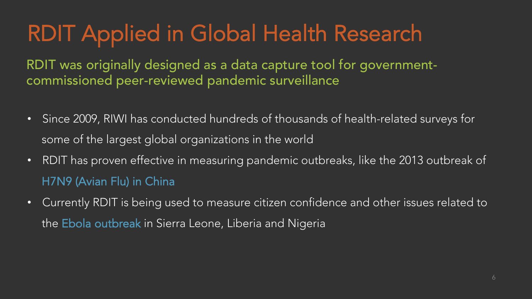### RDIT Applied in Global Health Research

RDIT was originally designed as a data capture tool for governmentcommissioned peer-reviewed pandemic surveillance

- Since 2009, RIWI has conducted hundreds of thousands of health-related surveys for some of the largest global organizations in the world
- RDIT has proven effective in measuring pandemic outbreaks, like the 2013 outbreak of H7N9 (Avian Flu) in China
- Currently RDIT is being used to measure citizen confidence and other issues related to the Ebola outbreak in Sierra Leone, Liberia and Nigeria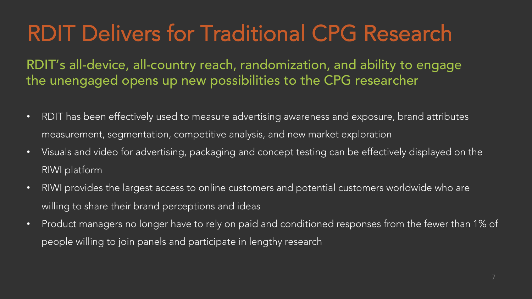### RDIT Delivers for Traditional CPG Research

RDIT's all-device, all-country reach, randomization, and ability to engage the unengaged opens up new possibilities to the CPG researcher

- RDIT has been effectively used to measure advertising awareness and exposure, brand attributes measurement, segmentation, competitive analysis, and new market exploration
- Visuals and video for advertising, packaging and concept testing can be effectively displayed on the RIWI platform
- RIWI provides the largest access to online customers and potential customers worldwide who are willing to share their brand perceptions and ideas
- Product managers no longer have to rely on paid and conditioned responses from the fewer than 1% of people willing to join panels and participate in lengthy research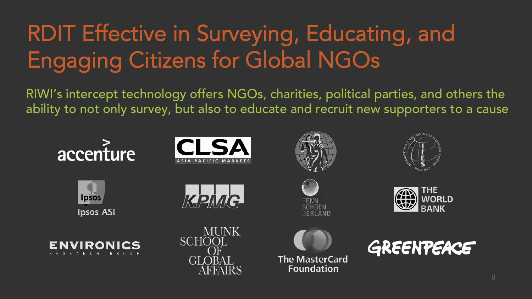## RDIT Effective in Surveying, Educating, and Engaging Citizens for Global NGOs

RIWI's intercept technology offers NGOs, charities, political parties, and others the ability to not only survey, but also to educate and recruit new supporters to a cause